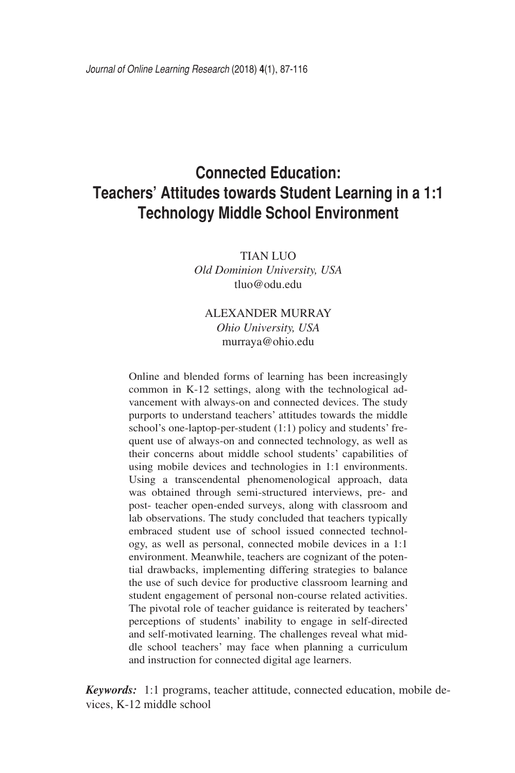# **Connected Education: Teachers' Attitudes towards Student Learning in a 1:1 Technology Middle School Environment**

TIAN LUO *Old Dominion University, USA* tluo@odu.edu

# ALEXANDER MURRAY *Ohio University, USA* murraya@ohio.edu

Online and blended forms of learning has been increasingly common in K-12 settings, along with the technological advancement with always-on and connected devices. The study purports to understand teachers' attitudes towards the middle school's one-laptop-per-student (1:1) policy and students' frequent use of always-on and connected technology, as well as their concerns about middle school students' capabilities of using mobile devices and technologies in 1:1 environments. Using a transcendental phenomenological approach, data was obtained through semi-structured interviews, pre- and post- teacher open-ended surveys, along with classroom and lab observations. The study concluded that teachers typically embraced student use of school issued connected technology, as well as personal, connected mobile devices in a 1:1 environment. Meanwhile, teachers are cognizant of the potential drawbacks, implementing differing strategies to balance the use of such device for productive classroom learning and student engagement of personal non-course related activities. The pivotal role of teacher guidance is reiterated by teachers' perceptions of students' inability to engage in self-directed and self-motivated learning. The challenges reveal what middle school teachers' may face when planning a curriculum and instruction for connected digital age learners.

*Keywords:* 1:1 programs, teacher attitude, connected education, mobile devices, K-12 middle school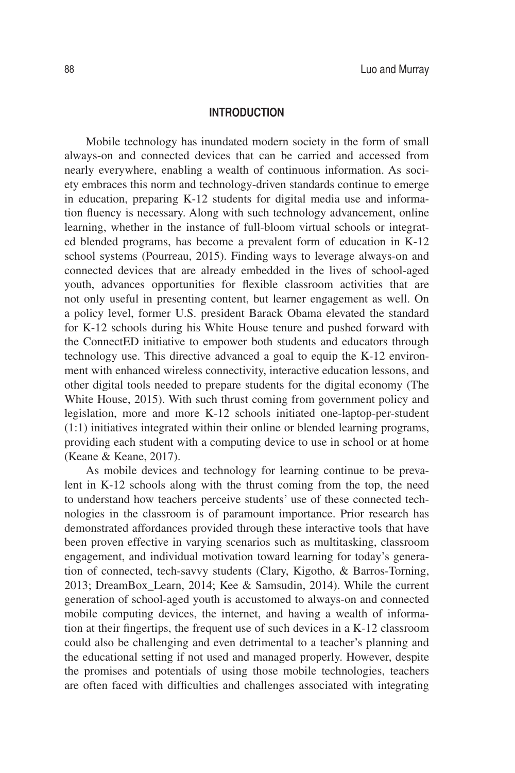#### **INTRODUCTION**

Mobile technology has inundated modern society in the form of small always-on and connected devices that can be carried and accessed from nearly everywhere, enabling a wealth of continuous information. As society embraces this norm and technology-driven standards continue to emerge in education, preparing K-12 students for digital media use and information fluency is necessary. Along with such technology advancement, online learning, whether in the instance of full-bloom virtual schools or integrated blended programs, has become a prevalent form of education in K-12 school systems (Pourreau, 2015). Finding ways to leverage always-on and connected devices that are already embedded in the lives of school-aged youth, advances opportunities for flexible classroom activities that are not only useful in presenting content, but learner engagement as well. On a policy level, former U.S. president Barack Obama elevated the standard for K-12 schools during his White House tenure and pushed forward with the ConnectED initiative to empower both students and educators through technology use. This directive advanced a goal to equip the K-12 environment with enhanced wireless connectivity, interactive education lessons, and other digital tools needed to prepare students for the digital economy (The White House, 2015). With such thrust coming from government policy and legislation, more and more K-12 schools initiated one-laptop-per-student (1:1) initiatives integrated within their online or blended learning programs, providing each student with a computing device to use in school or at home (Keane & Keane, 2017).

As mobile devices and technology for learning continue to be prevalent in K-12 schools along with the thrust coming from the top, the need to understand how teachers perceive students' use of these connected technologies in the classroom is of paramount importance. Prior research has demonstrated affordances provided through these interactive tools that have been proven effective in varying scenarios such as multitasking, classroom engagement, and individual motivation toward learning for today's generation of connected, tech-savvy students (Clary, Kigotho, & Barros-Torning, 2013; DreamBox\_Learn, 2014; Kee & Samsudin, 2014). While the current generation of school-aged youth is accustomed to always-on and connected mobile computing devices, the internet, and having a wealth of information at their fingertips, the frequent use of such devices in a K-12 classroom could also be challenging and even detrimental to a teacher's planning and the educational setting if not used and managed properly. However, despite the promises and potentials of using those mobile technologies, teachers are often faced with difficulties and challenges associated with integrating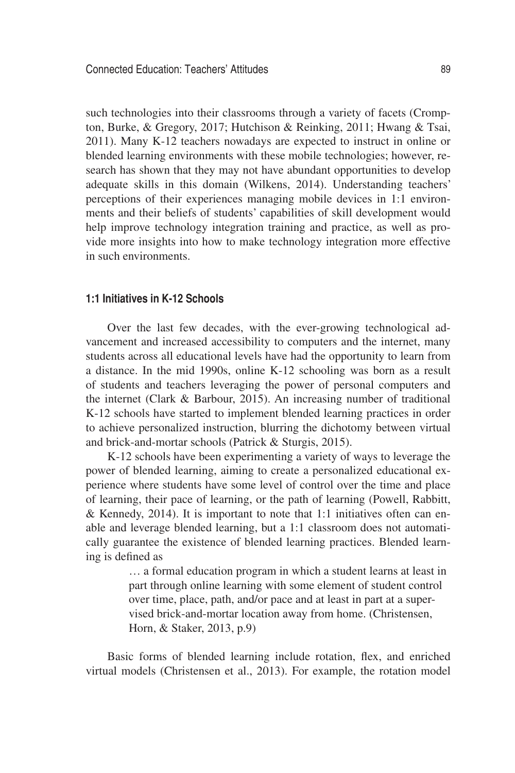such technologies into their classrooms through a variety of facets (Crompton, Burke, & Gregory, 2017; Hutchison & Reinking, 2011; Hwang & Tsai, 2011). Many K-12 teachers nowadays are expected to instruct in online or blended learning environments with these mobile technologies; however, research has shown that they may not have abundant opportunities to develop adequate skills in this domain (Wilkens, 2014). Understanding teachers' perceptions of their experiences managing mobile devices in 1:1 environments and their beliefs of students' capabilities of skill development would help improve technology integration training and practice, as well as provide more insights into how to make technology integration more effective in such environments.

# **1:1 Initiatives in K-12 Schools**

Over the last few decades, with the ever-growing technological advancement and increased accessibility to computers and the internet, many students across all educational levels have had the opportunity to learn from a distance. In the mid 1990s, online K-12 schooling was born as a result of students and teachers leveraging the power of personal computers and the internet (Clark & Barbour, 2015). An increasing number of traditional K-12 schools have started to implement blended learning practices in order to achieve personalized instruction, blurring the dichotomy between virtual and brick-and-mortar schools (Patrick & Sturgis, 2015).

K-12 schools have been experimenting a variety of ways to leverage the power of blended learning, aiming to create a personalized educational experience where students have some level of control over the time and place of learning, their pace of learning, or the path of learning (Powell, Rabbitt, & Kennedy, 2014). It is important to note that 1:1 initiatives often can enable and leverage blended learning, but a 1:1 classroom does not automatically guarantee the existence of blended learning practices. Blended learning is defined as

> … a formal education program in which a student learns at least in part through online learning with some element of student control over time, place, path, and/or pace and at least in part at a supervised brick-and-mortar location away from home. (Christensen, Horn, & Staker, 2013, p.9)

Basic forms of blended learning include rotation, flex, and enriched virtual models (Christensen et al., 2013). For example, the rotation model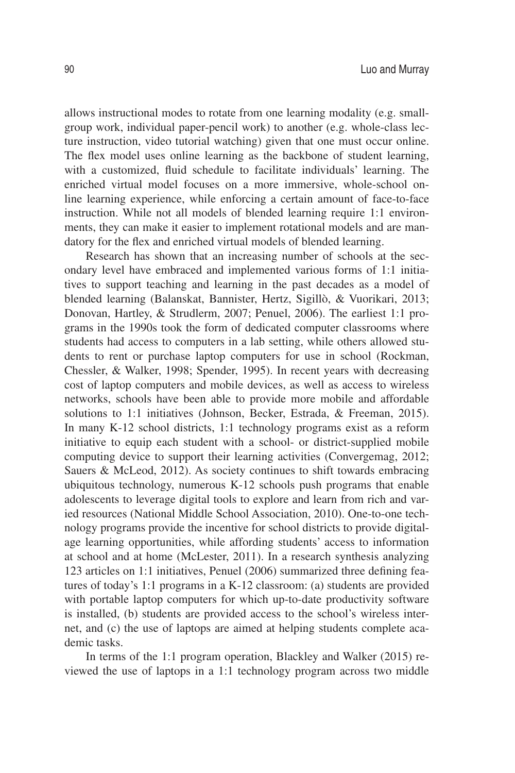allows instructional modes to rotate from one learning modality (e.g. smallgroup work, individual paper-pencil work) to another (e.g. whole-class lecture instruction, video tutorial watching) given that one must occur online. The flex model uses online learning as the backbone of student learning, with a customized, fluid schedule to facilitate individuals' learning. The enriched virtual model focuses on a more immersive, whole-school online learning experience, while enforcing a certain amount of face-to-face instruction. While not all models of blended learning require 1:1 environments, they can make it easier to implement rotational models and are mandatory for the flex and enriched virtual models of blended learning.

Research has shown that an increasing number of schools at the secondary level have embraced and implemented various forms of 1:1 initiatives to support teaching and learning in the past decades as a model of blended learning (Balanskat, Bannister, Hertz, Sigillò, & Vuorikari, 2013; Donovan, Hartley, & Strudlerm, 2007; Penuel, 2006). The earliest 1:1 programs in the 1990s took the form of dedicated computer classrooms where students had access to computers in a lab setting, while others allowed students to rent or purchase laptop computers for use in school (Rockman, Chessler, & Walker, 1998; Spender, 1995). In recent years with decreasing cost of laptop computers and mobile devices, as well as access to wireless networks, schools have been able to provide more mobile and affordable solutions to 1:1 initiatives (Johnson, Becker, Estrada, & Freeman, 2015). In many K-12 school districts, 1:1 technology programs exist as a reform initiative to equip each student with a school- or district-supplied mobile computing device to support their learning activities (Convergemag, 2012; Sauers & McLeod, 2012). As society continues to shift towards embracing ubiquitous technology, numerous K-12 schools push programs that enable adolescents to leverage digital tools to explore and learn from rich and varied resources (National Middle School Association, 2010). One-to-one technology programs provide the incentive for school districts to provide digitalage learning opportunities, while affording students' access to information at school and at home (McLester, 2011). In a research synthesis analyzing 123 articles on 1:1 initiatives, Penuel (2006) summarized three defining features of today's 1:1 programs in a K-12 classroom: (a) students are provided with portable laptop computers for which up-to-date productivity software is installed, (b) students are provided access to the school's wireless internet, and (c) the use of laptops are aimed at helping students complete academic tasks.

In terms of the 1:1 program operation, Blackley and Walker (2015) reviewed the use of laptops in a 1:1 technology program across two middle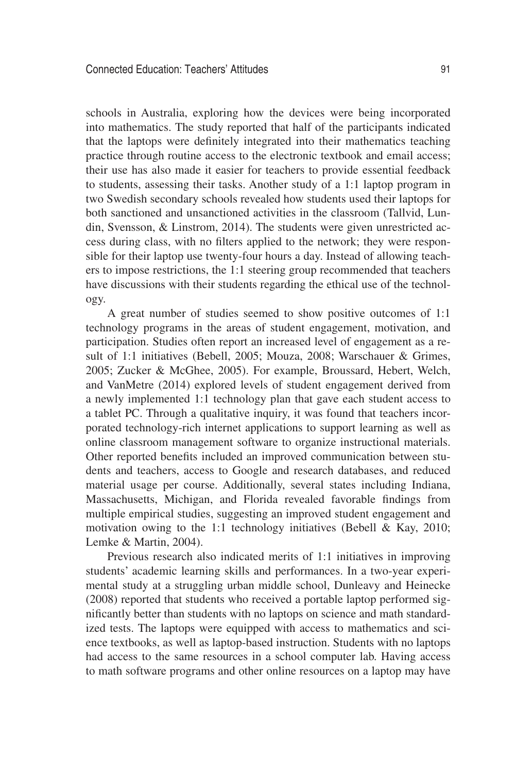schools in Australia, exploring how the devices were being incorporated into mathematics. The study reported that half of the participants indicated that the laptops were definitely integrated into their mathematics teaching practice through routine access to the electronic textbook and email access; their use has also made it easier for teachers to provide essential feedback to students, assessing their tasks. Another study of a 1:1 laptop program in two Swedish secondary schools revealed how students used their laptops for both sanctioned and unsanctioned activities in the classroom (Tallvid, Lundin, Svensson, & Linstrom, 2014). The students were given unrestricted access during class, with no filters applied to the network; they were responsible for their laptop use twenty-four hours a day. Instead of allowing teachers to impose restrictions, the 1:1 steering group recommended that teachers have discussions with their students regarding the ethical use of the technology.

A great number of studies seemed to show positive outcomes of 1:1 technology programs in the areas of student engagement, motivation, and participation. Studies often report an increased level of engagement as a result of 1:1 initiatives (Bebell, 2005; Mouza, 2008; Warschauer & Grimes, 2005; Zucker & McGhee, 2005). For example, Broussard, Hebert, Welch, and VanMetre (2014) explored levels of student engagement derived from a newly implemented 1:1 technology plan that gave each student access to a tablet PC. Through a qualitative inquiry, it was found that teachers incorporated technology-rich internet applications to support learning as well as online classroom management software to organize instructional materials. Other reported benefits included an improved communication between students and teachers, access to Google and research databases, and reduced material usage per course. Additionally, several states including Indiana, Massachusetts, Michigan, and Florida revealed favorable findings from multiple empirical studies, suggesting an improved student engagement and motivation owing to the 1:1 technology initiatives (Bebell & Kay, 2010; Lemke & Martin, 2004).

Previous research also indicated merits of 1:1 initiatives in improving students' academic learning skills and performances. In a two-year experimental study at a struggling urban middle school, Dunleavy and Heinecke (2008) reported that students who received a portable laptop performed significantly better than students with no laptops on science and math standardized tests. The laptops were equipped with access to mathematics and science textbooks, as well as laptop-based instruction. Students with no laptops had access to the same resources in a school computer lab. Having access to math software programs and other online resources on a laptop may have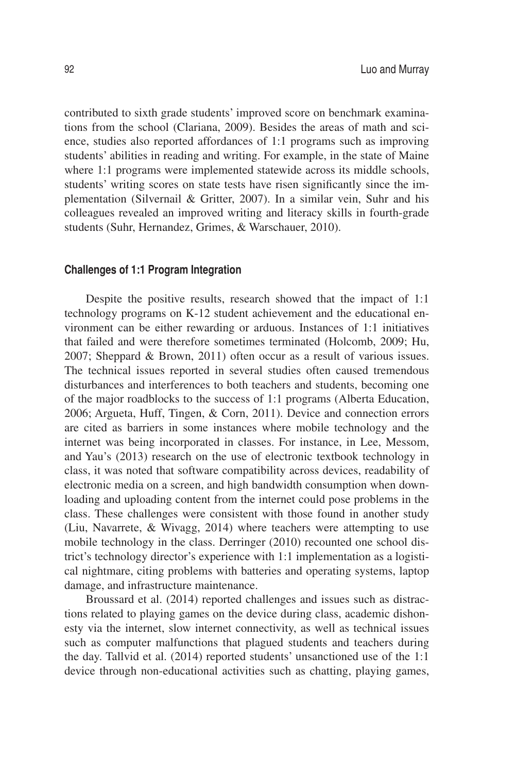contributed to sixth grade students' improved score on benchmark examinations from the school (Clariana, 2009). Besides the areas of math and science, studies also reported affordances of 1:1 programs such as improving students' abilities in reading and writing. For example, in the state of Maine where 1:1 programs were implemented statewide across its middle schools, students' writing scores on state tests have risen significantly since the implementation (Silvernail & Gritter, 2007). In a similar vein, Suhr and his colleagues revealed an improved writing and literacy skills in fourth-grade students (Suhr, Hernandez, Grimes, & Warschauer, 2010).

#### **Challenges of 1:1 Program Integration**

Despite the positive results, research showed that the impact of 1:1 technology programs on K-12 student achievement and the educational environment can be either rewarding or arduous. Instances of 1:1 initiatives that failed and were therefore sometimes terminated (Holcomb, 2009; Hu, 2007; Sheppard & Brown, 2011) often occur as a result of various issues. The technical issues reported in several studies often caused tremendous disturbances and interferences to both teachers and students, becoming one of the major roadblocks to the success of 1:1 programs (Alberta Education, 2006; Argueta, Huff, Tingen, & Corn, 2011). Device and connection errors are cited as barriers in some instances where mobile technology and the internet was being incorporated in classes. For instance, in Lee, Messom, and Yau's (2013) research on the use of electronic textbook technology in class, it was noted that software compatibility across devices, readability of electronic media on a screen, and high bandwidth consumption when downloading and uploading content from the internet could pose problems in the class. These challenges were consistent with those found in another study (Liu, Navarrete, & Wivagg, 2014) where teachers were attempting to use mobile technology in the class. Derringer (2010) recounted one school district's technology director's experience with 1:1 implementation as a logistical nightmare, citing problems with batteries and operating systems, laptop damage, and infrastructure maintenance.

Broussard et al. (2014) reported challenges and issues such as distractions related to playing games on the device during class, academic dishonesty via the internet, slow internet connectivity, as well as technical issues such as computer malfunctions that plagued students and teachers during the day. Tallvid et al. (2014) reported students' unsanctioned use of the 1:1 device through non-educational activities such as chatting, playing games,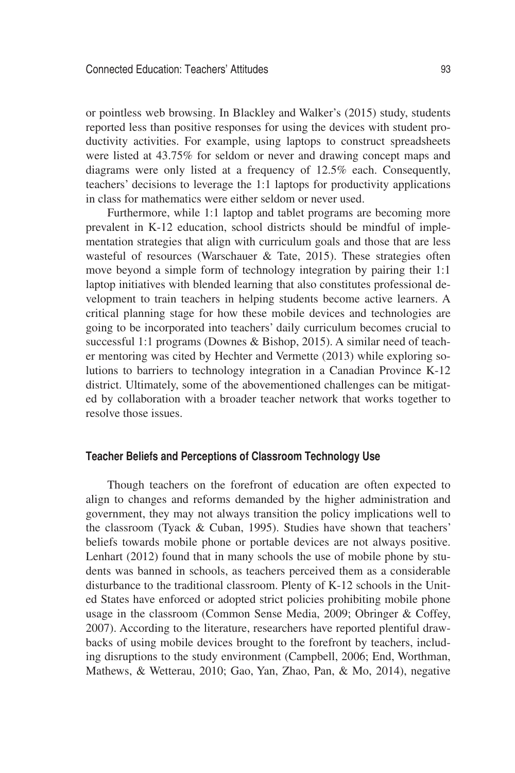or pointless web browsing. In Blackley and Walker's (2015) study, students reported less than positive responses for using the devices with student productivity activities. For example, using laptops to construct spreadsheets were listed at 43.75% for seldom or never and drawing concept maps and diagrams were only listed at a frequency of 12.5% each. Consequently, teachers' decisions to leverage the 1:1 laptops for productivity applications in class for mathematics were either seldom or never used.

Furthermore, while 1:1 laptop and tablet programs are becoming more prevalent in K-12 education, school districts should be mindful of implementation strategies that align with curriculum goals and those that are less wasteful of resources (Warschauer & Tate, 2015). These strategies often move beyond a simple form of technology integration by pairing their 1:1 laptop initiatives with blended learning that also constitutes professional development to train teachers in helping students become active learners. A critical planning stage for how these mobile devices and technologies are going to be incorporated into teachers' daily curriculum becomes crucial to successful 1:1 programs (Downes & Bishop, 2015). A similar need of teacher mentoring was cited by Hechter and Vermette (2013) while exploring solutions to barriers to technology integration in a Canadian Province K-12 district. Ultimately, some of the abovementioned challenges can be mitigated by collaboration with a broader teacher network that works together to resolve those issues.

## **Teacher Beliefs and Perceptions of Classroom Technology Use**

Though teachers on the forefront of education are often expected to align to changes and reforms demanded by the higher administration and government, they may not always transition the policy implications well to the classroom (Tyack & Cuban, 1995). Studies have shown that teachers' beliefs towards mobile phone or portable devices are not always positive. Lenhart (2012) found that in many schools the use of mobile phone by students was banned in schools, as teachers perceived them as a considerable disturbance to the traditional classroom. Plenty of K-12 schools in the United States have enforced or adopted strict policies prohibiting mobile phone usage in the classroom (Common Sense Media, 2009; Obringer & Coffey, 2007). According to the literature, researchers have reported plentiful drawbacks of using mobile devices brought to the forefront by teachers, including disruptions to the study environment (Campbell, 2006; End, Worthman, Mathews, & Wetterau, 2010; Gao, Yan, Zhao, Pan, & Mo, 2014), negative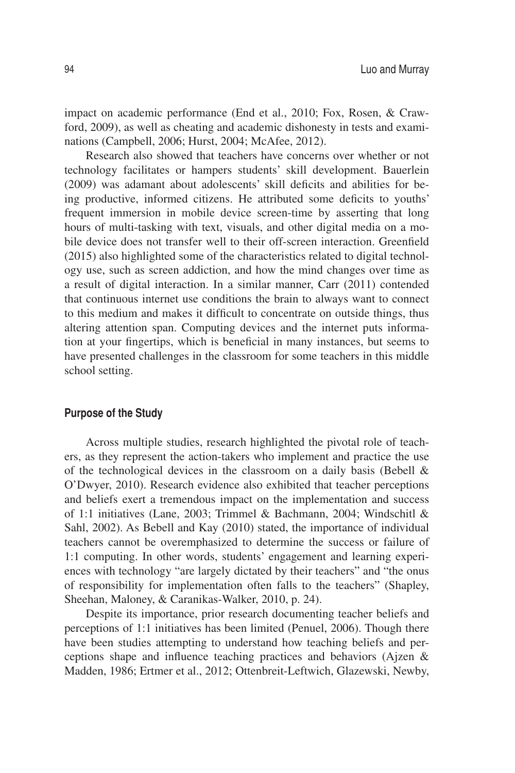impact on academic performance (End et al., 2010; Fox, Rosen, & Crawford, 2009), as well as cheating and academic dishonesty in tests and examinations (Campbell, 2006; Hurst, 2004; McAfee, 2012).

Research also showed that teachers have concerns over whether or not technology facilitates or hampers students' skill development. Bauerlein (2009) was adamant about adolescents' skill deficits and abilities for being productive, informed citizens. He attributed some deficits to youths' frequent immersion in mobile device screen-time by asserting that long hours of multi-tasking with text, visuals, and other digital media on a mobile device does not transfer well to their off-screen interaction. Greenfield (2015) also highlighted some of the characteristics related to digital technology use, such as screen addiction, and how the mind changes over time as a result of digital interaction. In a similar manner, Carr (2011) contended that continuous internet use conditions the brain to always want to connect to this medium and makes it difficult to concentrate on outside things, thus altering attention span. Computing devices and the internet puts information at your fingertips, which is beneficial in many instances, but seems to have presented challenges in the classroom for some teachers in this middle school setting.

## **Purpose of the Study**

Across multiple studies, research highlighted the pivotal role of teachers, as they represent the action-takers who implement and practice the use of the technological devices in the classroom on a daily basis (Bebell & O'Dwyer, 2010). Research evidence also exhibited that teacher perceptions and beliefs exert a tremendous impact on the implementation and success of 1:1 initiatives (Lane, 2003; Trimmel & Bachmann, 2004; Windschitl & Sahl, 2002). As Bebell and Kay (2010) stated, the importance of individual teachers cannot be overemphasized to determine the success or failure of 1:1 computing. In other words, students' engagement and learning experiences with technology "are largely dictated by their teachers" and "the onus of responsibility for implementation often falls to the teachers" (Shapley, Sheehan, Maloney, & Caranikas-Walker, 2010, p. 24).

Despite its importance, prior research documenting teacher beliefs and perceptions of 1:1 initiatives has been limited (Penuel, 2006). Though there have been studies attempting to understand how teaching beliefs and perceptions shape and influence teaching practices and behaviors (Ajzen & Madden, 1986; Ertmer et al., 2012; Ottenbreit-Leftwich, Glazewski, Newby,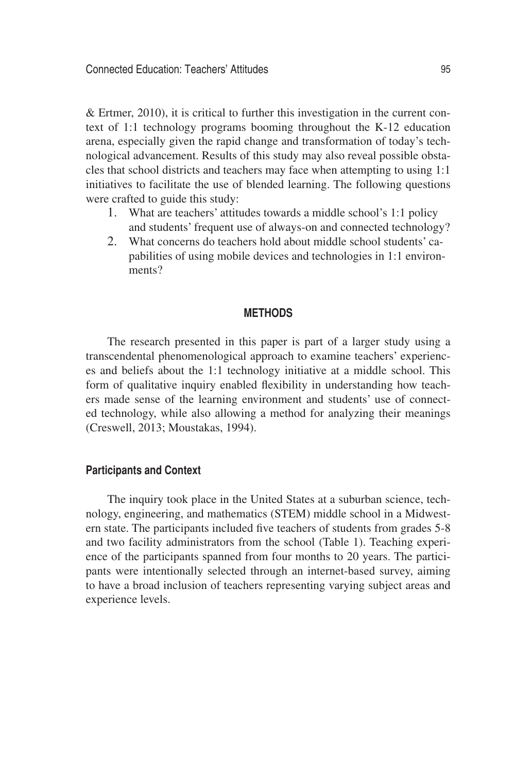& Ertmer, 2010), it is critical to further this investigation in the current context of 1:1 technology programs booming throughout the K-12 education arena, especially given the rapid change and transformation of today's technological advancement. Results of this study may also reveal possible obstacles that school districts and teachers may face when attempting to using 1:1 initiatives to facilitate the use of blended learning. The following questions were crafted to guide this study:

- 1. What are teachers' attitudes towards a middle school's 1:1 policy and students' frequent use of always-on and connected technology?
- 2. What concerns do teachers hold about middle school students' capabilities of using mobile devices and technologies in 1:1 environments?

#### **METHODS**

The research presented in this paper is part of a larger study using a transcendental phenomenological approach to examine teachers' experiences and beliefs about the 1:1 technology initiative at a middle school. This form of qualitative inquiry enabled flexibility in understanding how teachers made sense of the learning environment and students' use of connected technology, while also allowing a method for analyzing their meanings (Creswell, 2013; Moustakas, 1994).

#### **Participants and Context**

The inquiry took place in the United States at a suburban science, technology, engineering, and mathematics (STEM) middle school in a Midwestern state. The participants included five teachers of students from grades 5-8 and two facility administrators from the school (Table 1). Teaching experience of the participants spanned from four months to 20 years. The participants were intentionally selected through an internet-based survey, aiming to have a broad inclusion of teachers representing varying subject areas and experience levels.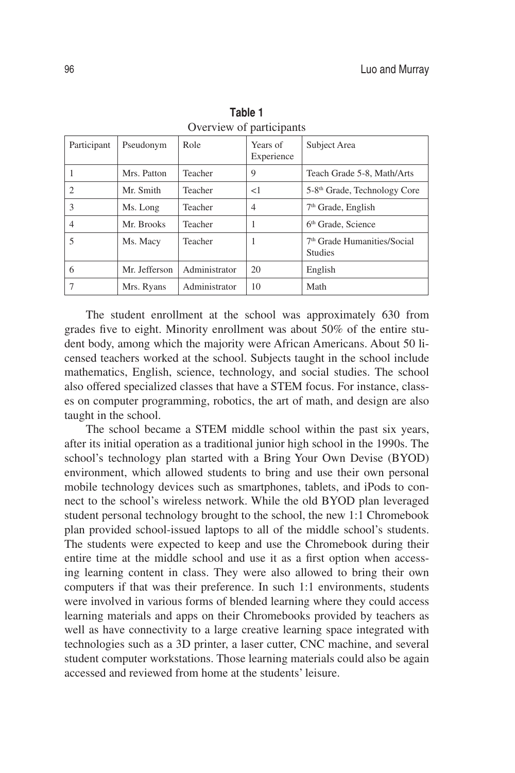| Participant | Pseudonym     | Role          | Years of<br>Experience | Subject Area                                              |
|-------------|---------------|---------------|------------------------|-----------------------------------------------------------|
|             | Mrs. Patton   | Teacher       | 9                      | Teach Grade 5-8, Math/Arts                                |
| 2           | Mr. Smith     | Teacher       | <1                     | 5-8 <sup>th</sup> Grade, Technology Core                  |
| 3           | Ms. Long      | Teacher       | $\overline{4}$         | $7th$ Grade, English                                      |
| 4           | Mr. Brooks    | Teacher       |                        | 6 <sup>th</sup> Grade, Science                            |
| 5           | Ms. Macy      | Teacher       |                        | 7 <sup>th</sup> Grade Humanities/Social<br><b>Studies</b> |
| 6           | Mr. Jefferson | Administrator | 20                     | English                                                   |
|             | Mrs. Ryans    | Administrator | 10                     | Math                                                      |

**Table 1** Overview of participants

The student enrollment at the school was approximately 630 from grades five to eight. Minority enrollment was about 50% of the entire student body, among which the majority were African Americans. About 50 licensed teachers worked at the school. Subjects taught in the school include mathematics, English, science, technology, and social studies. The school also offered specialized classes that have a STEM focus. For instance, classes on computer programming, robotics, the art of math, and design are also taught in the school.

The school became a STEM middle school within the past six years, after its initial operation as a traditional junior high school in the 1990s. The school's technology plan started with a Bring Your Own Devise (BYOD) environment, which allowed students to bring and use their own personal mobile technology devices such as smartphones, tablets, and iPods to connect to the school's wireless network. While the old BYOD plan leveraged student personal technology brought to the school, the new 1:1 Chromebook plan provided school-issued laptops to all of the middle school's students. The students were expected to keep and use the Chromebook during their entire time at the middle school and use it as a first option when accessing learning content in class. They were also allowed to bring their own computers if that was their preference. In such 1:1 environments, students were involved in various forms of blended learning where they could access learning materials and apps on their Chromebooks provided by teachers as well as have connectivity to a large creative learning space integrated with technologies such as a 3D printer, a laser cutter, CNC machine, and several student computer workstations. Those learning materials could also be again accessed and reviewed from home at the students' leisure.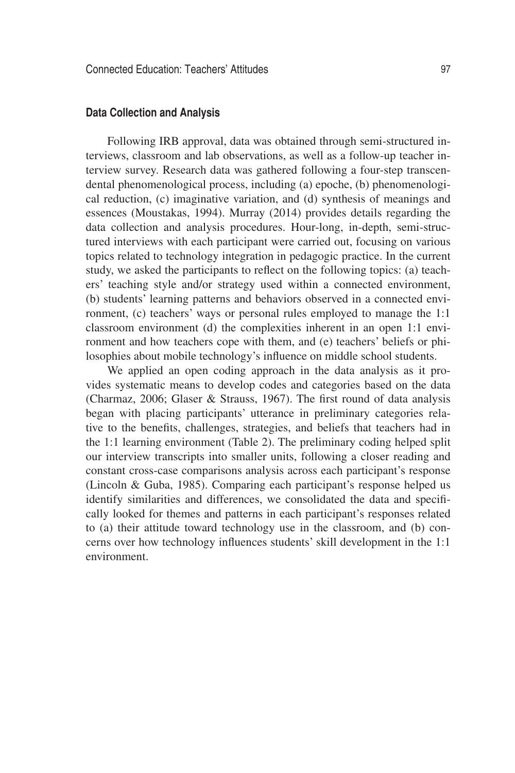#### **Data Collection and Analysis**

Following IRB approval, data was obtained through semi-structured interviews, classroom and lab observations, as well as a follow-up teacher interview survey. Research data was gathered following a four-step transcendental phenomenological process, including (a) epoche, (b) phenomenological reduction, (c) imaginative variation, and (d) synthesis of meanings and essences (Moustakas, 1994). Murray (2014) provides details regarding the data collection and analysis procedures. Hour-long, in-depth, semi-structured interviews with each participant were carried out, focusing on various topics related to technology integration in pedagogic practice. In the current study, we asked the participants to reflect on the following topics: (a) teachers' teaching style and/or strategy used within a connected environment, (b) students' learning patterns and behaviors observed in a connected environment, (c) teachers' ways or personal rules employed to manage the 1:1 classroom environment (d) the complexities inherent in an open 1:1 environment and how teachers cope with them, and (e) teachers' beliefs or philosophies about mobile technology's influence on middle school students.

We applied an open coding approach in the data analysis as it provides systematic means to develop codes and categories based on the data (Charmaz, 2006; Glaser & Strauss, 1967). The first round of data analysis began with placing participants' utterance in preliminary categories relative to the benefits, challenges, strategies, and beliefs that teachers had in the 1:1 learning environment (Table 2). The preliminary coding helped split our interview transcripts into smaller units, following a closer reading and constant cross-case comparisons analysis across each participant's response (Lincoln & Guba, 1985). Comparing each participant's response helped us identify similarities and differences, we consolidated the data and specifically looked for themes and patterns in each participant's responses related to (a) their attitude toward technology use in the classroom, and (b) concerns over how technology influences students' skill development in the 1:1 environment.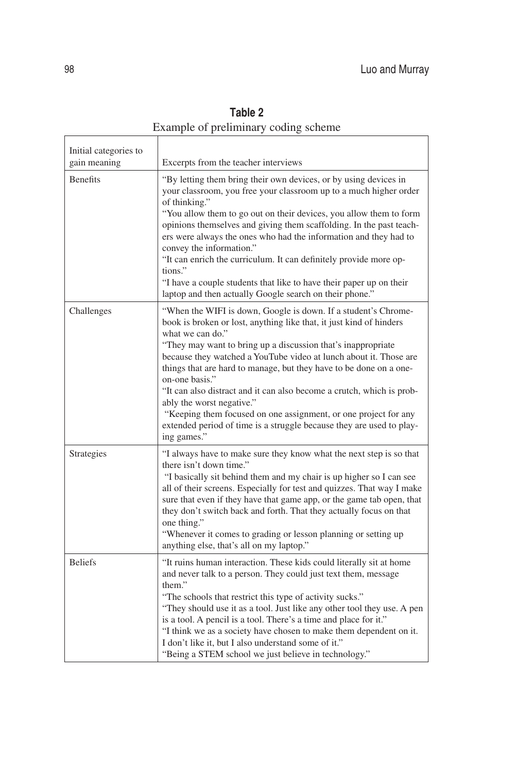| Initial categories to |                                                                                                                                                                                                                                                                                                                                                                                                                                                                                                                                                                                                                                                        |  |  |
|-----------------------|--------------------------------------------------------------------------------------------------------------------------------------------------------------------------------------------------------------------------------------------------------------------------------------------------------------------------------------------------------------------------------------------------------------------------------------------------------------------------------------------------------------------------------------------------------------------------------------------------------------------------------------------------------|--|--|
| gain meaning          | Excerpts from the teacher interviews                                                                                                                                                                                                                                                                                                                                                                                                                                                                                                                                                                                                                   |  |  |
| <b>Benefits</b>       | "By letting them bring their own devices, or by using devices in<br>your classroom, you free your classroom up to a much higher order<br>of thinking."<br>"You allow them to go out on their devices, you allow them to form<br>opinions themselves and giving them scaffolding. In the past teach-<br>ers were always the ones who had the information and they had to<br>convey the information."<br>"It can enrich the curriculum. It can definitely provide more op-<br>tions."<br>"I have a couple students that like to have their paper up on their<br>laptop and then actually Google search on their phone."                                  |  |  |
| Challenges            | "When the WIFI is down, Google is down. If a student's Chrome-<br>book is broken or lost, anything like that, it just kind of hinders<br>what we can do."<br>"They may want to bring up a discussion that's inappropriate<br>because they watched a YouTube video at lunch about it. Those are<br>things that are hard to manage, but they have to be done on a one-<br>on-one basis."<br>"It can also distract and it can also become a crutch, which is prob-<br>ably the worst negative."<br>"Keeping them focused on one assignment, or one project for any<br>extended period of time is a struggle because they are used to play-<br>ing games." |  |  |
| Strategies            | "I always have to make sure they know what the next step is so that<br>there isn't down time."<br>"I basically sit behind them and my chair is up higher so I can see<br>all of their screens. Especially for test and quizzes. That way I make<br>sure that even if they have that game app, or the game tab open, that<br>they don't switch back and forth. That they actually focus on that<br>one thing."<br>"Whenever it comes to grading or lesson planning or setting up<br>anything else, that's all on my laptop."                                                                                                                            |  |  |
| <b>Beliefs</b>        | "It ruins human interaction. These kids could literally sit at home<br>and never talk to a person. They could just text them, message<br>them."<br>"The schools that restrict this type of activity sucks."<br>"They should use it as a tool. Just like any other tool they use. A pen<br>is a tool. A pencil is a tool. There's a time and place for it."<br>"I think we as a society have chosen to make them dependent on it.<br>I don't like it, but I also understand some of it."<br>"Being a STEM school we just believe in technology."                                                                                                        |  |  |

**Table 2** Example of preliminary coding scheme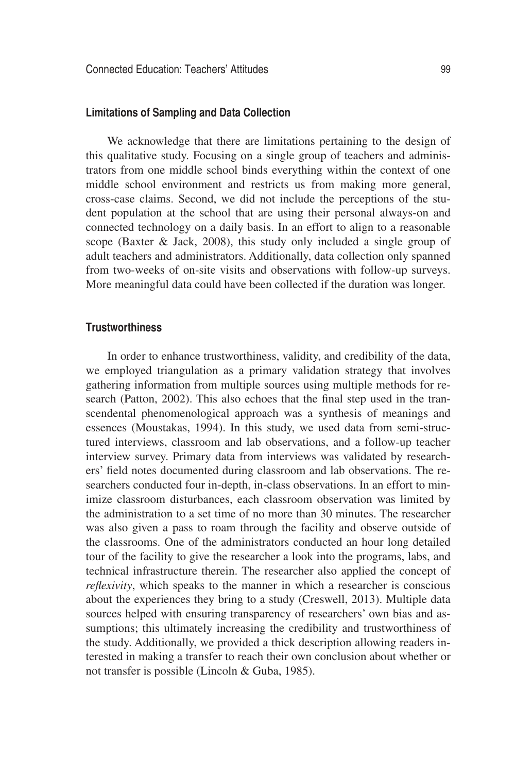#### **Limitations of Sampling and Data Collection**

We acknowledge that there are limitations pertaining to the design of this qualitative study. Focusing on a single group of teachers and administrators from one middle school binds everything within the context of one middle school environment and restricts us from making more general, cross-case claims. Second, we did not include the perceptions of the student population at the school that are using their personal always-on and connected technology on a daily basis. In an effort to align to a reasonable scope (Baxter & Jack, 2008), this study only included a single group of adult teachers and administrators. Additionally, data collection only spanned from two-weeks of on-site visits and observations with follow-up surveys. More meaningful data could have been collected if the duration was longer.

#### **Trustworthiness**

In order to enhance trustworthiness, validity, and credibility of the data, we employed triangulation as a primary validation strategy that involves gathering information from multiple sources using multiple methods for research (Patton, 2002). This also echoes that the final step used in the transcendental phenomenological approach was a synthesis of meanings and essences (Moustakas, 1994). In this study, we used data from semi-structured interviews, classroom and lab observations, and a follow-up teacher interview survey. Primary data from interviews was validated by researchers' field notes documented during classroom and lab observations. The researchers conducted four in-depth, in-class observations. In an effort to minimize classroom disturbances, each classroom observation was limited by the administration to a set time of no more than 30 minutes. The researcher was also given a pass to roam through the facility and observe outside of the classrooms. One of the administrators conducted an hour long detailed tour of the facility to give the researcher a look into the programs, labs, and technical infrastructure therein. The researcher also applied the concept of *reflexivity*, which speaks to the manner in which a researcher is conscious about the experiences they bring to a study (Creswell, 2013). Multiple data sources helped with ensuring transparency of researchers' own bias and assumptions; this ultimately increasing the credibility and trustworthiness of the study. Additionally, we provided a thick description allowing readers interested in making a transfer to reach their own conclusion about whether or not transfer is possible (Lincoln & Guba, 1985).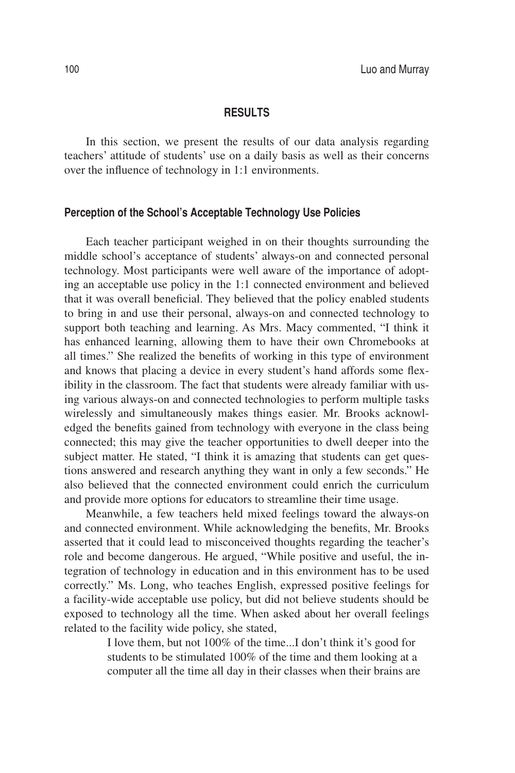#### **RESULTS**

In this section, we present the results of our data analysis regarding teachers' attitude of students' use on a daily basis as well as their concerns over the influence of technology in 1:1 environments.

# **Perception of the School's Acceptable Technology Use Policies**

Each teacher participant weighed in on their thoughts surrounding the middle school's acceptance of students' always-on and connected personal technology. Most participants were well aware of the importance of adopting an acceptable use policy in the 1:1 connected environment and believed that it was overall beneficial. They believed that the policy enabled students to bring in and use their personal, always-on and connected technology to support both teaching and learning. As Mrs. Macy commented, "I think it has enhanced learning, allowing them to have their own Chromebooks at all times." She realized the benefits of working in this type of environment and knows that placing a device in every student's hand affords some flexibility in the classroom. The fact that students were already familiar with using various always-on and connected technologies to perform multiple tasks wirelessly and simultaneously makes things easier. Mr. Brooks acknowledged the benefits gained from technology with everyone in the class being connected; this may give the teacher opportunities to dwell deeper into the subject matter. He stated, "I think it is amazing that students can get questions answered and research anything they want in only a few seconds." He also believed that the connected environment could enrich the curriculum and provide more options for educators to streamline their time usage.

Meanwhile, a few teachers held mixed feelings toward the always-on and connected environment. While acknowledging the benefits, Mr. Brooks asserted that it could lead to misconceived thoughts regarding the teacher's role and become dangerous. He argued, "While positive and useful, the integration of technology in education and in this environment has to be used correctly." Ms. Long, who teaches English, expressed positive feelings for a facility-wide acceptable use policy, but did not believe students should be exposed to technology all the time. When asked about her overall feelings related to the facility wide policy, she stated,

> I love them, but not 100% of the time...I don't think it's good for students to be stimulated 100% of the time and them looking at a computer all the time all day in their classes when their brains are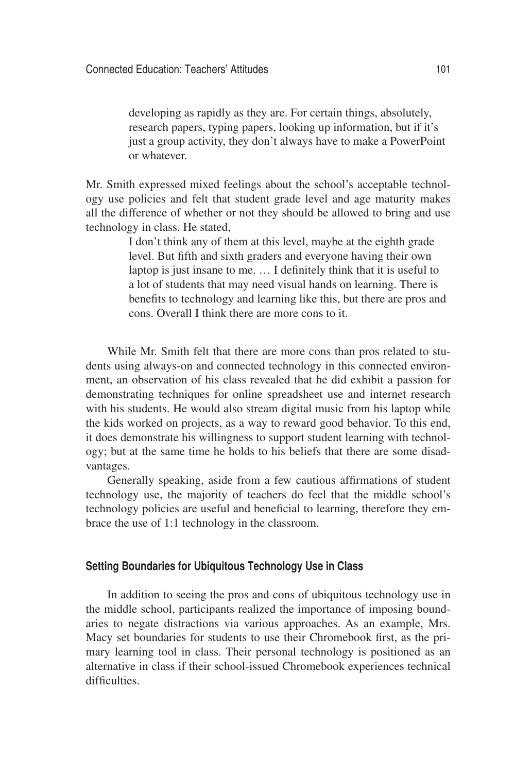developing as rapidly as they are. For certain things, absolutely, research papers, typing papers, looking up information, but if it's just a group activity, they don't always have to make a PowerPoint or whatever.

Mr. Smith expressed mixed feelings about the school's acceptable technology use policies and felt that student grade level and age maturity makes all the difference of whether or not they should be allowed to bring and use technology in class. He stated,

> I don't think any of them at this level, maybe at the eighth grade level. But fifth and sixth graders and everyone having their own laptop is just insane to me. … I definitely think that it is useful to a lot of students that may need visual hands on learning. There is benefits to technology and learning like this, but there are pros and cons. Overall I think there are more cons to it.

While Mr. Smith felt that there are more cons than pros related to students using always-on and connected technology in this connected environment, an observation of his class revealed that he did exhibit a passion for demonstrating techniques for online spreadsheet use and internet research with his students. He would also stream digital music from his laptop while the kids worked on projects, as a way to reward good behavior. To this end, it does demonstrate his willingness to support student learning with technology; but at the same time he holds to his beliefs that there are some disadvantages.

Generally speaking, aside from a few cautious affirmations of student technology use, the majority of teachers do feel that the middle school's technology policies are useful and beneficial to learning, therefore they embrace the use of 1:1 technology in the classroom.

# **Setting Boundaries for Ubiquitous Technology Use in Class**

In addition to seeing the pros and cons of ubiquitous technology use in the middle school, participants realized the importance of imposing boundaries to negate distractions via various approaches. As an example, Mrs. Macy set boundaries for students to use their Chromebook first, as the primary learning tool in class. Their personal technology is positioned as an alternative in class if their school-issued Chromebook experiences technical difficulties.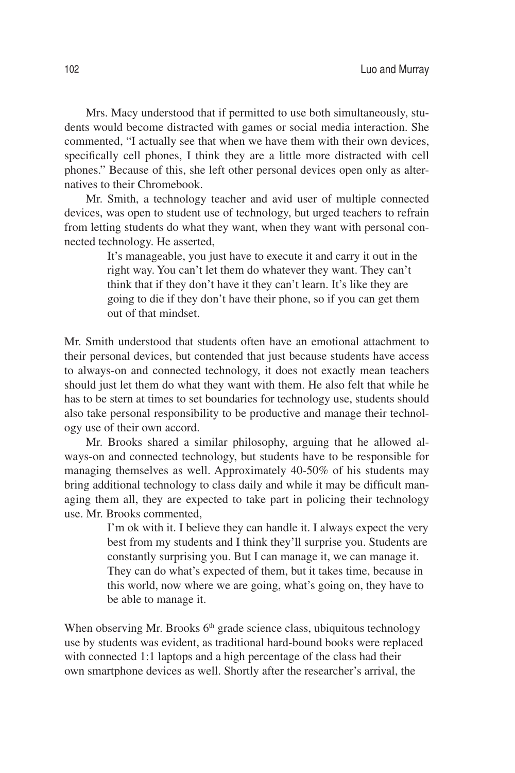Mrs. Macy understood that if permitted to use both simultaneously, students would become distracted with games or social media interaction. She commented, "I actually see that when we have them with their own devices, specifically cell phones, I think they are a little more distracted with cell phones." Because of this, she left other personal devices open only as alternatives to their Chromebook.

Mr. Smith, a technology teacher and avid user of multiple connected devices, was open to student use of technology, but urged teachers to refrain from letting students do what they want, when they want with personal connected technology. He asserted,

> It's manageable, you just have to execute it and carry it out in the right way. You can't let them do whatever they want. They can't think that if they don't have it they can't learn. It's like they are going to die if they don't have their phone, so if you can get them out of that mindset.

Mr. Smith understood that students often have an emotional attachment to their personal devices, but contended that just because students have access to always-on and connected technology, it does not exactly mean teachers should just let them do what they want with them. He also felt that while he has to be stern at times to set boundaries for technology use, students should also take personal responsibility to be productive and manage their technology use of their own accord.

Mr. Brooks shared a similar philosophy, arguing that he allowed always-on and connected technology, but students have to be responsible for managing themselves as well. Approximately 40-50% of his students may bring additional technology to class daily and while it may be difficult managing them all, they are expected to take part in policing their technology use. Mr. Brooks commented,

> I'm ok with it. I believe they can handle it. I always expect the very best from my students and I think they'll surprise you. Students are constantly surprising you. But I can manage it, we can manage it. They can do what's expected of them, but it takes time, because in this world, now where we are going, what's going on, they have to be able to manage it.

When observing Mr. Brooks  $6<sup>th</sup>$  grade science class, ubiquitous technology use by students was evident, as traditional hard-bound books were replaced with connected 1:1 laptops and a high percentage of the class had their own smartphone devices as well. Shortly after the researcher's arrival, the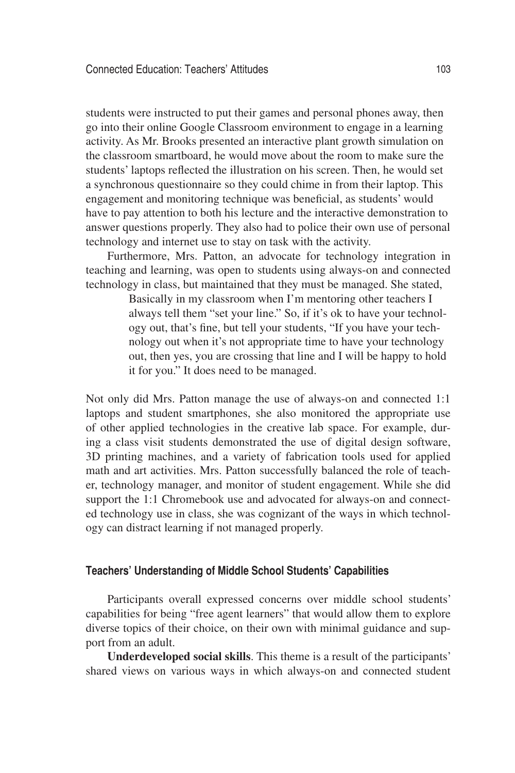students were instructed to put their games and personal phones away, then go into their online Google Classroom environment to engage in a learning activity. As Mr. Brooks presented an interactive plant growth simulation on the classroom smartboard, he would move about the room to make sure the students' laptops reflected the illustration on his screen. Then, he would set a synchronous questionnaire so they could chime in from their laptop. This engagement and monitoring technique was beneficial, as students' would have to pay attention to both his lecture and the interactive demonstration to answer questions properly. They also had to police their own use of personal technology and internet use to stay on task with the activity.

Furthermore, Mrs. Patton, an advocate for technology integration in teaching and learning, was open to students using always-on and connected technology in class, but maintained that they must be managed. She stated,

> Basically in my classroom when I'm mentoring other teachers I always tell them "set your line." So, if it's ok to have your technology out, that's fine, but tell your students, "If you have your technology out when it's not appropriate time to have your technology out, then yes, you are crossing that line and I will be happy to hold it for you." It does need to be managed.

Not only did Mrs. Patton manage the use of always-on and connected 1:1 laptops and student smartphones, she also monitored the appropriate use of other applied technologies in the creative lab space. For example, during a class visit students demonstrated the use of digital design software, 3D printing machines, and a variety of fabrication tools used for applied math and art activities. Mrs. Patton successfully balanced the role of teacher, technology manager, and monitor of student engagement. While she did support the 1:1 Chromebook use and advocated for always-on and connected technology use in class, she was cognizant of the ways in which technology can distract learning if not managed properly.

# **Teachers' Understanding of Middle School Students' Capabilities**

Participants overall expressed concerns over middle school students' capabilities for being "free agent learners" that would allow them to explore diverse topics of their choice, on their own with minimal guidance and support from an adult.

**Underdeveloped social skills**. This theme is a result of the participants' shared views on various ways in which always-on and connected student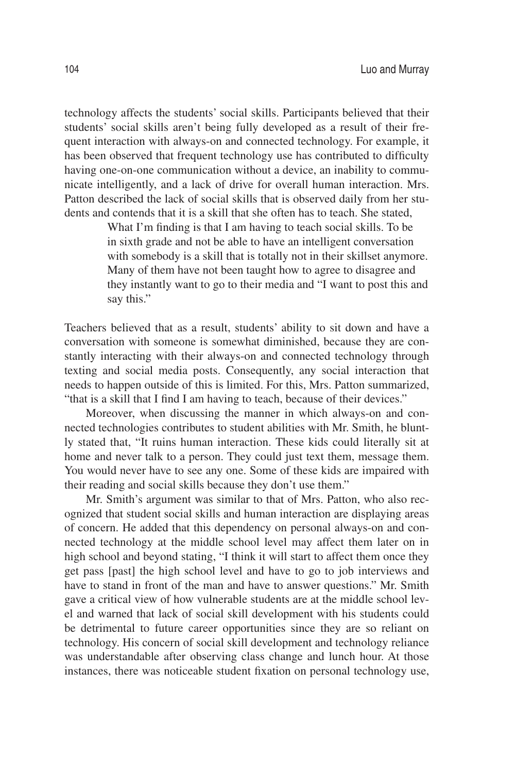technology affects the students' social skills. Participants believed that their students' social skills aren't being fully developed as a result of their frequent interaction with always-on and connected technology. For example, it has been observed that frequent technology use has contributed to difficulty having one-on-one communication without a device, an inability to communicate intelligently, and a lack of drive for overall human interaction. Mrs. Patton described the lack of social skills that is observed daily from her students and contends that it is a skill that she often has to teach. She stated,

> What I'm finding is that I am having to teach social skills. To be in sixth grade and not be able to have an intelligent conversation with somebody is a skill that is totally not in their skillset anymore. Many of them have not been taught how to agree to disagree and they instantly want to go to their media and "I want to post this and say this."

Teachers believed that as a result, students' ability to sit down and have a conversation with someone is somewhat diminished, because they are constantly interacting with their always-on and connected technology through texting and social media posts. Consequently, any social interaction that needs to happen outside of this is limited. For this, Mrs. Patton summarized, "that is a skill that I find I am having to teach, because of their devices."

Moreover, when discussing the manner in which always-on and connected technologies contributes to student abilities with Mr. Smith, he bluntly stated that, "It ruins human interaction. These kids could literally sit at home and never talk to a person. They could just text them, message them. You would never have to see any one. Some of these kids are impaired with their reading and social skills because they don't use them."

Mr. Smith's argument was similar to that of Mrs. Patton, who also recognized that student social skills and human interaction are displaying areas of concern. He added that this dependency on personal always-on and connected technology at the middle school level may affect them later on in high school and beyond stating, "I think it will start to affect them once they get pass [past] the high school level and have to go to job interviews and have to stand in front of the man and have to answer questions." Mr. Smith gave a critical view of how vulnerable students are at the middle school level and warned that lack of social skill development with his students could be detrimental to future career opportunities since they are so reliant on technology. His concern of social skill development and technology reliance was understandable after observing class change and lunch hour. At those instances, there was noticeable student fixation on personal technology use,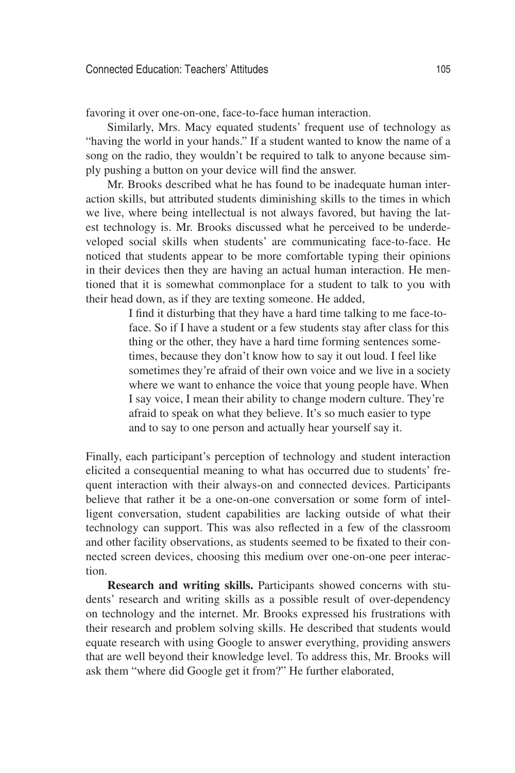favoring it over one-on-one, face-to-face human interaction.

Similarly, Mrs. Macy equated students' frequent use of technology as "having the world in your hands." If a student wanted to know the name of a song on the radio, they wouldn't be required to talk to anyone because simply pushing a button on your device will find the answer.

Mr. Brooks described what he has found to be inadequate human interaction skills, but attributed students diminishing skills to the times in which we live, where being intellectual is not always favored, but having the latest technology is. Mr. Brooks discussed what he perceived to be underdeveloped social skills when students' are communicating face-to-face. He noticed that students appear to be more comfortable typing their opinions in their devices then they are having an actual human interaction. He mentioned that it is somewhat commonplace for a student to talk to you with their head down, as if they are texting someone. He added,

> I find it disturbing that they have a hard time talking to me face-toface. So if I have a student or a few students stay after class for this thing or the other, they have a hard time forming sentences sometimes, because they don't know how to say it out loud. I feel like sometimes they're afraid of their own voice and we live in a society where we want to enhance the voice that young people have. When I say voice, I mean their ability to change modern culture. They're afraid to speak on what they believe. It's so much easier to type and to say to one person and actually hear yourself say it.

Finally, each participant's perception of technology and student interaction elicited a consequential meaning to what has occurred due to students' frequent interaction with their always-on and connected devices. Participants believe that rather it be a one-on-one conversation or some form of intelligent conversation, student capabilities are lacking outside of what their technology can support. This was also reflected in a few of the classroom and other facility observations, as students seemed to be fixated to their connected screen devices, choosing this medium over one-on-one peer interaction.

**Research and writing skills.** Participants showed concerns with students' research and writing skills as a possible result of over-dependency on technology and the internet. Mr. Brooks expressed his frustrations with their research and problem solving skills. He described that students would equate research with using Google to answer everything, providing answers that are well beyond their knowledge level. To address this, Mr. Brooks will ask them "where did Google get it from?" He further elaborated,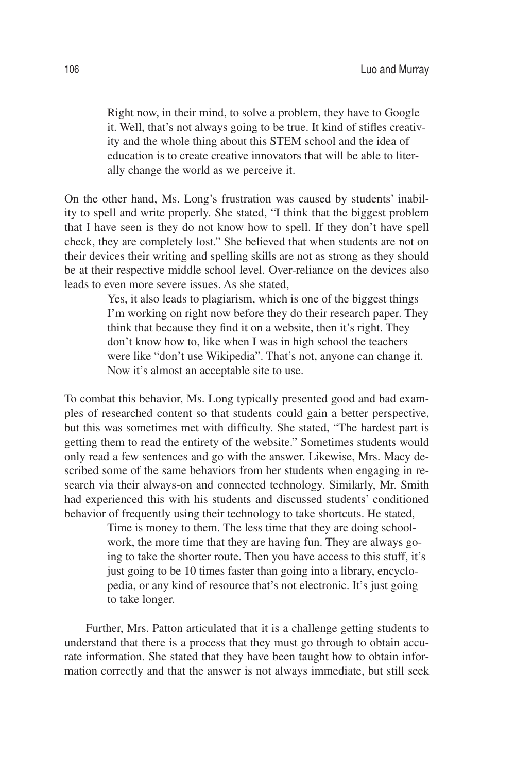Right now, in their mind, to solve a problem, they have to Google it. Well, that's not always going to be true. It kind of stifles creativity and the whole thing about this STEM school and the idea of education is to create creative innovators that will be able to literally change the world as we perceive it.

On the other hand, Ms. Long's frustration was caused by students' inability to spell and write properly. She stated, "I think that the biggest problem that I have seen is they do not know how to spell. If they don't have spell check, they are completely lost." She believed that when students are not on their devices their writing and spelling skills are not as strong as they should be at their respective middle school level. Over-reliance on the devices also leads to even more severe issues. As she stated,

> Yes, it also leads to plagiarism, which is one of the biggest things I'm working on right now before they do their research paper. They think that because they find it on a website, then it's right. They don't know how to, like when I was in high school the teachers were like "don't use Wikipedia". That's not, anyone can change it. Now it's almost an acceptable site to use.

To combat this behavior, Ms. Long typically presented good and bad examples of researched content so that students could gain a better perspective, but this was sometimes met with difficulty. She stated, "The hardest part is getting them to read the entirety of the website." Sometimes students would only read a few sentences and go with the answer. Likewise, Mrs. Macy described some of the same behaviors from her students when engaging in research via their always-on and connected technology. Similarly, Mr. Smith had experienced this with his students and discussed students' conditioned behavior of frequently using their technology to take shortcuts. He stated,

> Time is money to them. The less time that they are doing schoolwork, the more time that they are having fun. They are always going to take the shorter route. Then you have access to this stuff, it's just going to be 10 times faster than going into a library, encyclopedia, or any kind of resource that's not electronic. It's just going to take longer.

Further, Mrs. Patton articulated that it is a challenge getting students to understand that there is a process that they must go through to obtain accurate information. She stated that they have been taught how to obtain information correctly and that the answer is not always immediate, but still seek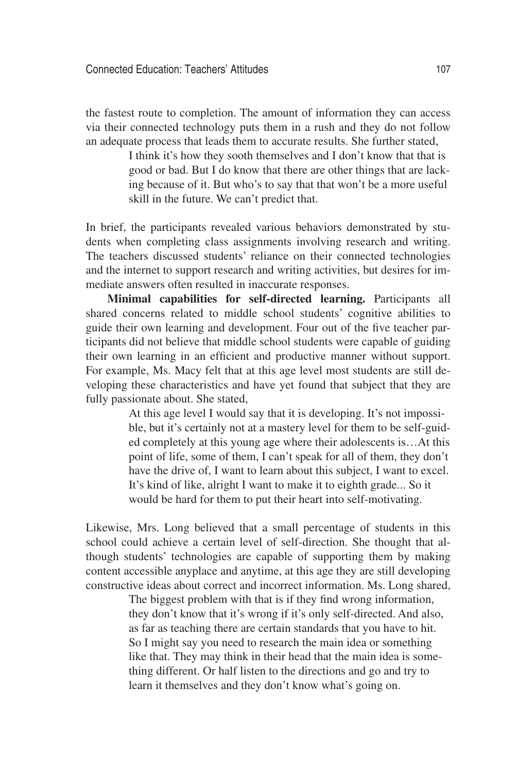the fastest route to completion. The amount of information they can access via their connected technology puts them in a rush and they do not follow an adequate process that leads them to accurate results. She further stated,

> I think it's how they sooth themselves and I don't know that that is good or bad. But I do know that there are other things that are lacking because of it. But who's to say that that won't be a more useful skill in the future. We can't predict that.

In brief, the participants revealed various behaviors demonstrated by students when completing class assignments involving research and writing. The teachers discussed students' reliance on their connected technologies and the internet to support research and writing activities, but desires for immediate answers often resulted in inaccurate responses.

**Minimal capabilities for self-directed learning.** Participants all shared concerns related to middle school students' cognitive abilities to guide their own learning and development. Four out of the five teacher participants did not believe that middle school students were capable of guiding their own learning in an efficient and productive manner without support. For example, Ms. Macy felt that at this age level most students are still developing these characteristics and have yet found that subject that they are fully passionate about. She stated,

> At this age level I would say that it is developing. It's not impossible, but it's certainly not at a mastery level for them to be self-guided completely at this young age where their adolescents is…At this point of life, some of them, I can't speak for all of them, they don't have the drive of, I want to learn about this subject, I want to excel. It's kind of like, alright I want to make it to eighth grade... So it would be hard for them to put their heart into self-motivating.

Likewise, Mrs. Long believed that a small percentage of students in this school could achieve a certain level of self-direction. She thought that although students' technologies are capable of supporting them by making content accessible anyplace and anytime, at this age they are still developing constructive ideas about correct and incorrect information. Ms. Long shared,

> The biggest problem with that is if they find wrong information, they don't know that it's wrong if it's only self-directed. And also, as far as teaching there are certain standards that you have to hit. So I might say you need to research the main idea or something like that. They may think in their head that the main idea is something different. Or half listen to the directions and go and try to learn it themselves and they don't know what's going on.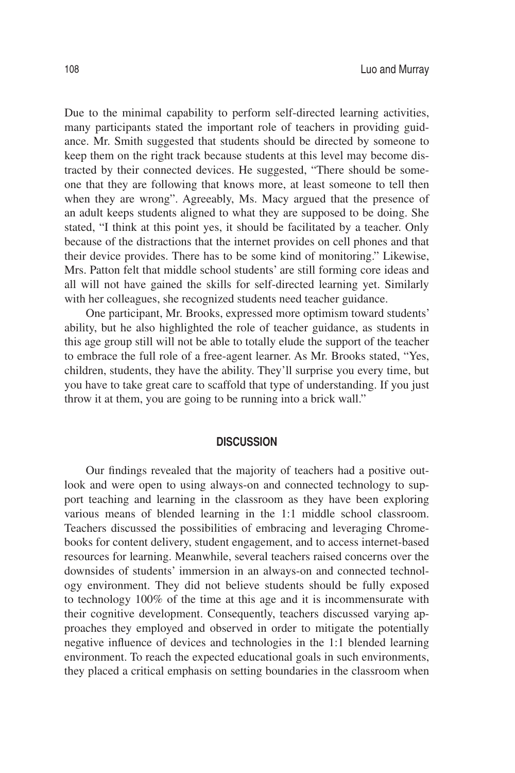Due to the minimal capability to perform self-directed learning activities, many participants stated the important role of teachers in providing guidance. Mr. Smith suggested that students should be directed by someone to keep them on the right track because students at this level may become distracted by their connected devices. He suggested, "There should be someone that they are following that knows more, at least someone to tell then when they are wrong". Agreeably, Ms. Macy argued that the presence of an adult keeps students aligned to what they are supposed to be doing. She stated, "I think at this point yes, it should be facilitated by a teacher. Only because of the distractions that the internet provides on cell phones and that their device provides. There has to be some kind of monitoring." Likewise, Mrs. Patton felt that middle school students' are still forming core ideas and all will not have gained the skills for self-directed learning yet. Similarly with her colleagues, she recognized students need teacher guidance.

One participant, Mr. Brooks, expressed more optimism toward students' ability, but he also highlighted the role of teacher guidance, as students in this age group still will not be able to totally elude the support of the teacher to embrace the full role of a free-agent learner. As Mr. Brooks stated, "Yes, children, students, they have the ability. They'll surprise you every time, but you have to take great care to scaffold that type of understanding. If you just throw it at them, you are going to be running into a brick wall."

## **DISCUSSION**

Our findings revealed that the majority of teachers had a positive outlook and were open to using always-on and connected technology to support teaching and learning in the classroom as they have been exploring various means of blended learning in the 1:1 middle school classroom. Teachers discussed the possibilities of embracing and leveraging Chromebooks for content delivery, student engagement, and to access internet-based resources for learning. Meanwhile, several teachers raised concerns over the downsides of students' immersion in an always-on and connected technology environment. They did not believe students should be fully exposed to technology 100% of the time at this age and it is incommensurate with their cognitive development. Consequently, teachers discussed varying approaches they employed and observed in order to mitigate the potentially negative influence of devices and technologies in the 1:1 blended learning environment. To reach the expected educational goals in such environments, they placed a critical emphasis on setting boundaries in the classroom when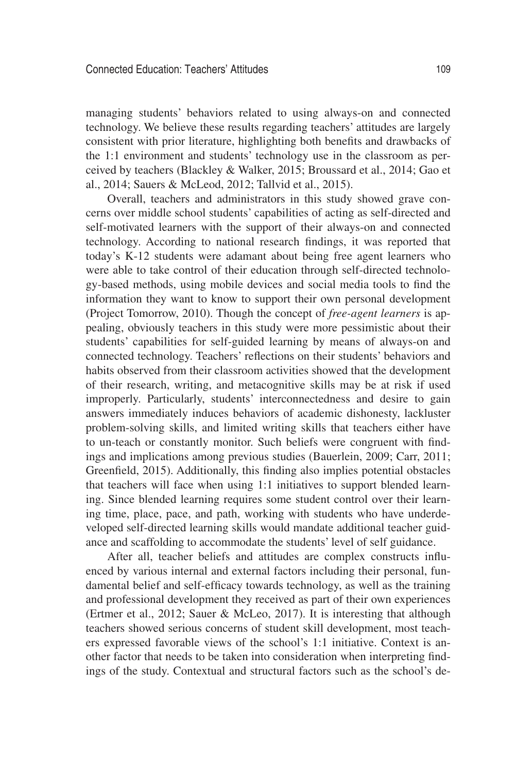managing students' behaviors related to using always-on and connected technology. We believe these results regarding teachers' attitudes are largely consistent with prior literature, highlighting both benefits and drawbacks of the 1:1 environment and students' technology use in the classroom as perceived by teachers (Blackley & Walker, 2015; Broussard et al., 2014; Gao et al., 2014; Sauers & McLeod, 2012; Tallvid et al., 2015).

Overall, teachers and administrators in this study showed grave concerns over middle school students' capabilities of acting as self-directed and self-motivated learners with the support of their always-on and connected technology. According to national research findings, it was reported that today's K-12 students were adamant about being free agent learners who were able to take control of their education through self-directed technology-based methods, using mobile devices and social media tools to find the information they want to know to support their own personal development (Project Tomorrow, 2010). Though the concept of *free-agent learners* is appealing, obviously teachers in this study were more pessimistic about their students' capabilities for self-guided learning by means of always-on and connected technology. Teachers' reflections on their students' behaviors and habits observed from their classroom activities showed that the development of their research, writing, and metacognitive skills may be at risk if used improperly. Particularly, students' interconnectedness and desire to gain answers immediately induces behaviors of academic dishonesty, lackluster problem-solving skills, and limited writing skills that teachers either have to un-teach or constantly monitor. Such beliefs were congruent with findings and implications among previous studies (Bauerlein, 2009; Carr, 2011; Greenfield, 2015). Additionally, this finding also implies potential obstacles that teachers will face when using 1:1 initiatives to support blended learning. Since blended learning requires some student control over their learning time, place, pace, and path, working with students who have underdeveloped self-directed learning skills would mandate additional teacher guidance and scaffolding to accommodate the students' level of self guidance.

After all, teacher beliefs and attitudes are complex constructs influenced by various internal and external factors including their personal, fundamental belief and self-efficacy towards technology, as well as the training and professional development they received as part of their own experiences (Ertmer et al., 2012; Sauer & McLeo, 2017). It is interesting that although teachers showed serious concerns of student skill development, most teachers expressed favorable views of the school's 1:1 initiative. Context is another factor that needs to be taken into consideration when interpreting findings of the study. Contextual and structural factors such as the school's de-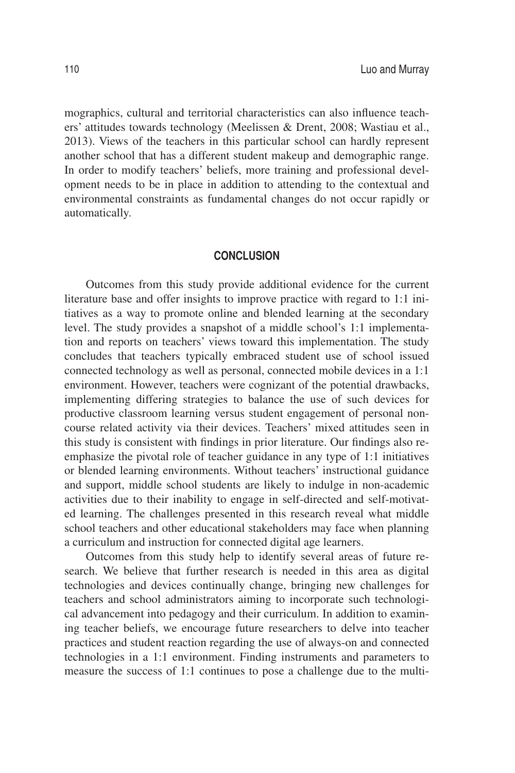mographics, cultural and territorial characteristics can also influence teachers' attitudes towards technology (Meelissen & Drent, 2008; Wastiau et al., 2013). Views of the teachers in this particular school can hardly represent another school that has a different student makeup and demographic range. In order to modify teachers' beliefs, more training and professional development needs to be in place in addition to attending to the contextual and environmental constraints as fundamental changes do not occur rapidly or automatically.

#### **CONCLUSION**

Outcomes from this study provide additional evidence for the current literature base and offer insights to improve practice with regard to 1:1 initiatives as a way to promote online and blended learning at the secondary level. The study provides a snapshot of a middle school's 1:1 implementation and reports on teachers' views toward this implementation. The study concludes that teachers typically embraced student use of school issued connected technology as well as personal, connected mobile devices in a 1:1 environment. However, teachers were cognizant of the potential drawbacks, implementing differing strategies to balance the use of such devices for productive classroom learning versus student engagement of personal noncourse related activity via their devices. Teachers' mixed attitudes seen in this study is consistent with findings in prior literature. Our findings also reemphasize the pivotal role of teacher guidance in any type of 1:1 initiatives or blended learning environments. Without teachers' instructional guidance and support, middle school students are likely to indulge in non-academic activities due to their inability to engage in self-directed and self-motivated learning. The challenges presented in this research reveal what middle school teachers and other educational stakeholders may face when planning a curriculum and instruction for connected digital age learners.

Outcomes from this study help to identify several areas of future research. We believe that further research is needed in this area as digital technologies and devices continually change, bringing new challenges for teachers and school administrators aiming to incorporate such technological advancement into pedagogy and their curriculum. In addition to examining teacher beliefs, we encourage future researchers to delve into teacher practices and student reaction regarding the use of always-on and connected technologies in a 1:1 environment. Finding instruments and parameters to measure the success of 1:1 continues to pose a challenge due to the multi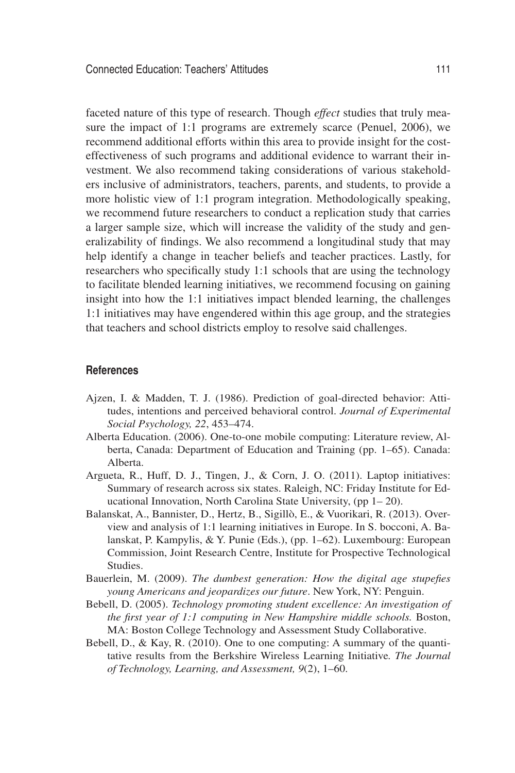faceted nature of this type of research. Though *effect* studies that truly measure the impact of 1:1 programs are extremely scarce (Penuel, 2006), we recommend additional efforts within this area to provide insight for the costeffectiveness of such programs and additional evidence to warrant their investment. We also recommend taking considerations of various stakeholders inclusive of administrators, teachers, parents, and students, to provide a more holistic view of 1:1 program integration. Methodologically speaking, we recommend future researchers to conduct a replication study that carries a larger sample size, which will increase the validity of the study and generalizability of findings. We also recommend a longitudinal study that may help identify a change in teacher beliefs and teacher practices. Lastly, for researchers who specifically study 1:1 schools that are using the technology to facilitate blended learning initiatives, we recommend focusing on gaining insight into how the 1:1 initiatives impact blended learning, the challenges 1:1 initiatives may have engendered within this age group, and the strategies that teachers and school districts employ to resolve said challenges.

#### **References**

- Ajzen, I. & Madden, T. J. (1986). Prediction of goal-directed behavior: Attitudes, intentions and perceived behavioral control. *Journal of Experimental Social Psychology, 22*, 453–474.
- Alberta Education. (2006). One-to-one mobile computing: Literature review, Alberta, Canada: Department of Education and Training (pp. 1–65). Canada: Alberta.
- Argueta, R., Huff, D. J., Tingen, J., & Corn, J. O. (2011). Laptop initiatives: Summary of research across six states. Raleigh, NC: Friday Institute for Educational Innovation, North Carolina State University, (pp 1– 20).
- Balanskat, A., Bannister, D., Hertz, B., Sigillò, E., & Vuorikari, R. (2013). Overview and analysis of 1:1 learning initiatives in Europe. In S. bocconi, A. Balanskat, P. Kampylis, & Y. Punie (Eds.), (pp. 1–62). Luxembourg: European Commission, Joint Research Centre, Institute for Prospective Technological Studies.
- Bauerlein, M. (2009). *The dumbest generation: How the digital age stupefies young Americans and jeopardizes our future*. New York, NY: Penguin.
- Bebell, D. (2005). *Technology promoting student excellence: An investigation of the first year of 1:1 computing in New Hampshire middle schools.* Boston, MA: Boston College Technology and Assessment Study Collaborative.
- Bebell, D., & Kay, R. (2010). One to one computing: A summary of the quantitative results from the Berkshire Wireless Learning Initiative*. The Journal of Technology, Learning, and Assessment, 9*(2), 1–60.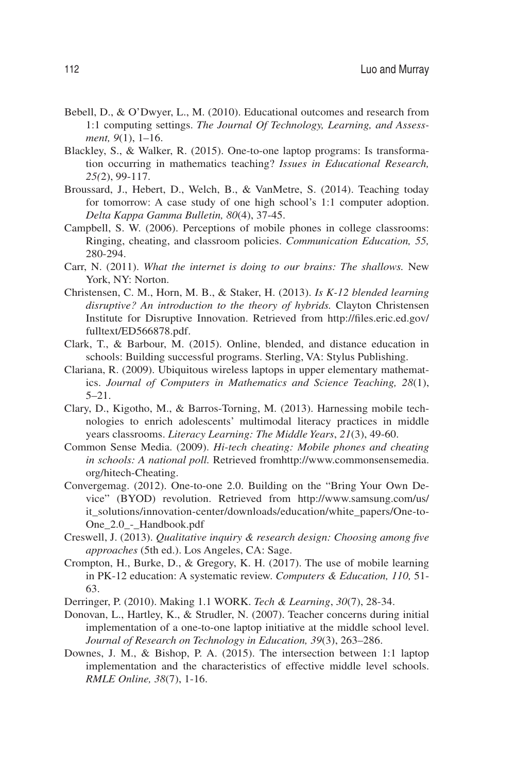- Bebell, D., & O'Dwyer, L., M. (2010). Educational outcomes and research from 1:1 computing settings. *The Journal Of Technology, Learning, and Assessment, 9*(1), 1–16.
- Blackley, S., & Walker, R. (2015). One-to-one laptop programs: Is transformation occurring in mathematics teaching? *Issues in Educational Research, 25(*2), 99-117.
- Broussard, J., Hebert, D., Welch, B., & VanMetre, S. (2014). Teaching today for tomorrow: A case study of one high school's 1:1 computer adoption. *Delta Kappa Gamma Bulletin, 80*(4), 37-45.
- Campbell, S. W. (2006). Perceptions of mobile phones in college classrooms: Ringing, cheating, and classroom policies. *Communication Education, 55,* 280-294.
- Carr, N. (2011). *What the internet is doing to our brains: The shallows.* New York, NY: Norton.
- Christensen, C. M., Horn, M. B., & Staker, H. (2013). *Is K-12 blended learning disruptive? An introduction to the theory of hybrids.* Clayton Christensen Institute for Disruptive Innovation. Retrieved from http://files.eric.ed.gov/ fulltext/ED566878.pdf.
- Clark, T., & Barbour, M. (2015). Online, blended, and distance education in schools: Building successful programs. Sterling, VA: Stylus Publishing.
- Clariana, R. (2009). Ubiquitous wireless laptops in upper elementary mathematics. *Journal of Computers in Mathematics and Science Teaching, 28*(1), 5–21.
- Clary, D., Kigotho, M., & Barros-Torning, M. (2013). Harnessing mobile technologies to enrich adolescents' multimodal literacy practices in middle years classrooms. *Literacy Learning: The Middle Years*, *21*(3), 49-60.
- Common Sense Media. (2009). *Hi-tech cheating: Mobile phones and cheating in schools: A national poll.* Retrieved fromhttp://www.commonsensemedia. org/hitech-Cheating.
- Convergemag. (2012). One-to-one 2.0. Building on the "Bring Your Own Device" (BYOD) revolution. Retrieved from http://www.samsung.com/us/ it\_solutions/innovation-center/downloads/education/white\_papers/One-to-One\_2.0\_-\_Handbook.pdf
- Creswell, J. (2013). *Qualitative inquiry & research design: Choosing among five approaches* (5th ed.). Los Angeles, CA: Sage.
- Crompton, H., Burke, D., & Gregory, K. H. (2017). The use of mobile learning in PK-12 education: A systematic review. *Computers & Education, 110,* 51- 63.
- Derringer, P. (2010). Making 1.1 WORK. *Tech & Learning*, *30*(7), 28-34.
- Donovan, L., Hartley, K., & Strudler, N. (2007). Teacher concerns during initial implementation of a one-to-one laptop initiative at the middle school level. *Journal of Research on Technology in Education, 39*(3), 263–286.
- Downes, J. M., & Bishop, P. A. (2015). The intersection between 1:1 laptop implementation and the characteristics of effective middle level schools. *RMLE Online, 38*(7), 1-16.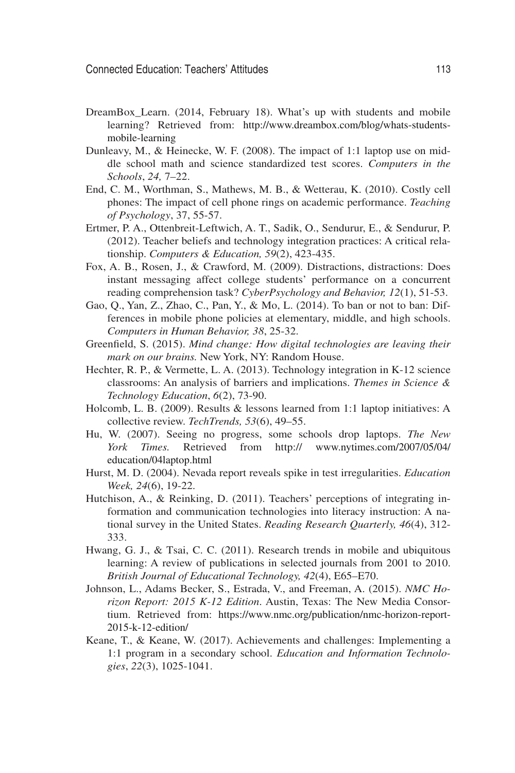- DreamBox\_Learn. (2014, February 18). What's up with students and mobile learning? Retrieved from: http://www.dreambox.com/blog/whats-studentsmobile-learning
- Dunleavy, M., & Heinecke, W. F. (2008). The impact of 1:1 laptop use on middle school math and science standardized test scores. *Computers in the Schools*, *24,* 7–22.
- End, C. M., Worthman, S., Mathews, M. B., & Wetterau, K. (2010). Costly cell phones: The impact of cell phone rings on academic performance. *Teaching of Psychology*, 37, 55-57.
- Ertmer, P. A., Ottenbreit-Leftwich, A. T., Sadik, O., Sendurur, E., & Sendurur, P. (2012). Teacher beliefs and technology integration practices: A critical relationship. *Computers & Education, 59*(2), 423-435.
- Fox, A. B., Rosen, J., & Crawford, M. (2009). Distractions, distractions: Does instant messaging affect college students' performance on a concurrent reading comprehension task? *CyberPsychology and Behavior, 12*(1), 51-53.
- Gao, Q., Yan, Z., Zhao, C., Pan, Y., & Mo, L. (2014). To ban or not to ban: Differences in mobile phone policies at elementary, middle, and high schools. *Computers in Human Behavior, 38*, 25-32.
- Greenfield, S. (2015). *Mind change: How digital technologies are leaving their mark on our brains.* New York, NY: Random House.
- Hechter, R. P., & Vermette, L. A. (2013). Technology integration in K-12 science classrooms: An analysis of barriers and implications. *Themes in Science & Technology Education*, *6*(2), 73-90.
- Holcomb, L. B. (2009). Results & lessons learned from 1:1 laptop initiatives: A collective review. *TechTrends, 53*(6), 49–55.
- Hu, W. (2007). Seeing no progress, some schools drop laptops. *The New York Times.* Retrieved from http:// www.nytimes.com/2007/05/04/ education/04laptop.html
- Hurst, M. D. (2004). Nevada report reveals spike in test irregularities. *Education Week, 24*(6), 19-22.
- Hutchison, A., & Reinking, D. (2011). Teachers' perceptions of integrating information and communication technologies into literacy instruction: A national survey in the United States. *Reading Research Quarterly, 46*(4), 312- 333.
- Hwang, G. J., & Tsai, C. C. (2011). Research trends in mobile and ubiquitous learning: A review of publications in selected journals from 2001 to 2010. *British Journal of Educational Technology, 42*(4), E65–E70.
- Johnson, L., Adams Becker, S., Estrada, V., and Freeman, A. (2015). *NMC Horizon Report: 2015 K-12 Edition*. Austin, Texas: The New Media Consortium. Retrieved from: https://www.nmc.org/publication/nmc-horizon-report-2015-k-12-edition/
- Keane, T., & Keane, W. (2017). Achievements and challenges: Implementing a 1:1 program in a secondary school. *Education and Information Technologies*, *22*(3), 1025-1041.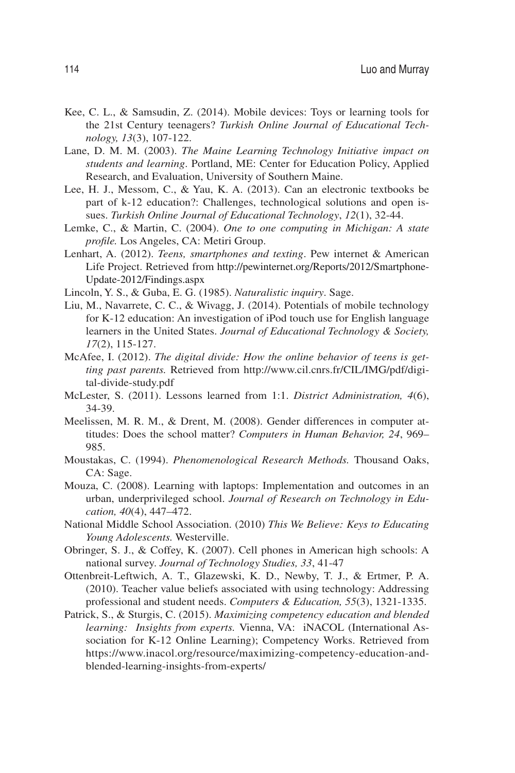- Kee, C. L., & Samsudin, Z. (2014). Mobile devices: Toys or learning tools for the 21st Century teenagers? *Turkish Online Journal of Educational Technology, 13*(3), 107-122.
- Lane, D. M. M. (2003). *The Maine Learning Technology Initiative impact on students and learning*. Portland, ME: Center for Education Policy, Applied Research, and Evaluation, University of Southern Maine.
- Lee, H. J., Messom, C., & Yau, K. A. (2013). Can an electronic textbooks be part of k-12 education?: Challenges, technological solutions and open issues. *Turkish Online Journal of Educational Technology*, *12*(1), 32-44.
- Lemke, C., & Martin, C. (2004). *One to one computing in Michigan: A state profile.* Los Angeles, CA: Metiri Group.
- Lenhart, A. (2012). *Teens, smartphones and texting*. Pew internet & American Life Project. Retrieved from http://pewinternet.org/Reports/2012/Smartphone-Update-2012/Findings.aspx
- Lincoln, Y. S., & Guba, E. G. (1985). *Naturalistic inquiry*. Sage.
- Liu, M., Navarrete, C. C., & Wivagg, J. (2014). Potentials of mobile technology for K-12 education: An investigation of iPod touch use for English language learners in the United States. *Journal of Educational Technology & Society, 17*(2), 115-127.
- McAfee, I. (2012). *The digital divide: How the online behavior of teens is getting past parents.* Retrieved from http://www.cil.cnrs.fr/CIL/IMG/pdf/digital-divide-study.pdf
- McLester, S. (2011). Lessons learned from 1:1. *District Administration, 4*(6), 34-39.
- Meelissen, M. R. M., & Drent, M. (2008). Gender differences in computer attitudes: Does the school matter? *Computers in Human Behavior, 24*, 969– 985.
- Moustakas, C. (1994). *Phenomenological Research Methods.* Thousand Oaks, CA: Sage.
- Mouza, C. (2008). Learning with laptops: Implementation and outcomes in an urban, underprivileged school. *Journal of Research on Technology in Education, 40*(4), 447–472.
- National Middle School Association. (2010) *This We Believe: Keys to Educating Young Adolescents.* Westerville.
- Obringer, S. J., & Coffey, K. (2007). Cell phones in American high schools: A national survey. *Journal of Technology Studies, 33*, 41-47
- Ottenbreit-Leftwich, A. T., Glazewski, K. D., Newby, T. J., & Ertmer, P. A. (2010). Teacher value beliefs associated with using technology: Addressing professional and student needs. *Computers & Education, 55*(3), 1321-1335.
- Patrick, S., & Sturgis, C. (2015). *Maximizing competency education and blended learning: Insights from experts.* Vienna, VA: iNACOL (International Association for K-12 Online Learning); Competency Works. Retrieved from https://www.inacol.org/resource/maximizing-competency-education-andblended-learning-insights-from-experts/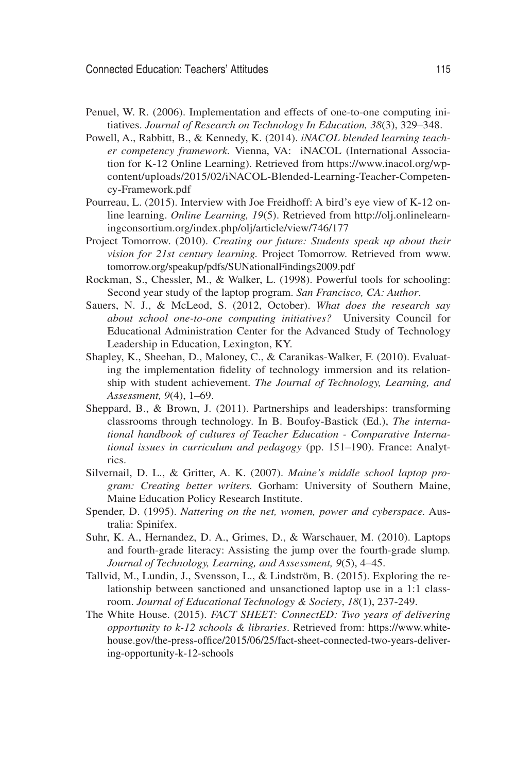- Penuel, W. R. (2006). Implementation and effects of one-to-one computing initiatives. *Journal of Research on Technology In Education, 38*(3), 329–348.
- Powell, A., Rabbitt, B., & Kennedy, K. (2014). *iNACOL blended learning teacher competency framework.* Vienna, VA: iNACOL (International Association for K-12 Online Learning). Retrieved from https://www.inacol.org/wpcontent/uploads/2015/02/iNACOL-Blended-Learning-Teacher-Competency-Framework.pdf
- Pourreau, L. (2015). Interview with Joe Freidhoff: A bird's eye view of K-12 online learning. *Online Learning, 19*(5). Retrieved from http://olj.onlinelearningconsortium.org/index.php/olj/article/view/746/177
- Project Tomorrow. (2010). *Creating our future: Students speak up about their vision for 21st century learning.* Project Tomorrow. Retrieved from www. tomorrow.org/speakup/pdfs/SUNationalFindings2009.pdf
- Rockman, S., Chessler, M., & Walker, L. (1998). Powerful tools for schooling: Second year study of the laptop program. *San Francisco, CA: Author*.
- Sauers, N. J., & McLeod, S. (2012, October). *What does the research say about school one-to-one computing initiatives?* University Council for Educational Administration Center for the Advanced Study of Technology Leadership in Education, Lexington, KY.
- Shapley, K., Sheehan, D., Maloney, C., & Caranikas-Walker, F. (2010). Evaluating the implementation fidelity of technology immersion and its relationship with student achievement. *The Journal of Technology, Learning, and Assessment, 9*(4), 1–69.
- Sheppard, B., & Brown, J. (2011). Partnerships and leaderships: transforming classrooms through technology. In B. Boufoy-Bastick (Ed.), *The international handbook of cultures of Teacher Education - Comparative International issues in curriculum and pedagogy* (pp. 151–190). France: Analytrics.
- Silvernail, D. L., & Gritter, A. K. (2007). *Maine's middle school laptop program: Creating better writers.* Gorham: University of Southern Maine, Maine Education Policy Research Institute.
- Spender, D. (1995). *Nattering on the net, women, power and cyberspace.* Australia: Spinifex.
- Suhr, K. A., Hernandez, D. A., Grimes, D., & Warschauer, M. (2010). Laptops and fourth-grade literacy: Assisting the jump over the fourth-grade slump*. Journal of Technology, Learning, and Assessment, 9*(5), 4–45.
- Tallvid, M., Lundin, J., Svensson, L., & Lindström, B. (2015). Exploring the relationship between sanctioned and unsanctioned laptop use in a 1:1 classroom. *Journal of Educational Technology & Society*, *18*(1), 237-249.
- The White House. (2015). *FACT SHEET: ConnectED: Two years of delivering opportunity to k-12 schools & libraries*. Retrieved from: https://www.whitehouse.gov/the-press-office/2015/06/25/fact-sheet-connected-two-years-delivering-opportunity-k-12-schools